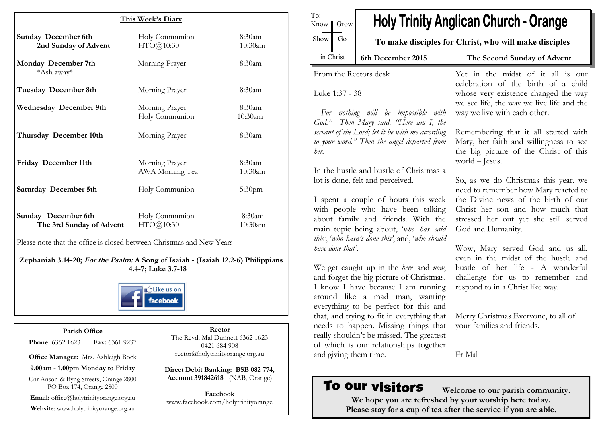|                                                    | This Week's Diary                 |                      |
|----------------------------------------------------|-----------------------------------|----------------------|
| <b>Sunday December 6th</b><br>2nd Sunday of Advent | Holy Communion<br>HTO@10:30       | 8:30am<br>10:30am    |
| Monday December 7th<br>*Ash away*                  | Morning Prayer                    | 8:30am               |
| Tuesday December 8th                               | Morning Prayer                    | 8:30am               |
| <b>Wednesday December 9th</b>                      | Morning Prayer<br>Holy Communion  | 8:30am<br>10:30am    |
| Thursday December 10th                             | Morning Prayer                    | 8:30am               |
| Friday December 11th                               | Morning Prayer<br>AWA Morning Tea | 8:30am<br>$10:30$ am |
| Saturday December 5th                              | Holy Communion                    | 5:30 <sub>pm</sub>   |
| Sunday December 6th<br>The 3rd Sunday of Advent    | Holy Communion<br>HTO@10:30       | 8:30am<br>$10:30$ am |

Please note that the office is closed between Christmas and New Years

**Zephaniah 3.14-20; For the Psalm: A Song of Isaiah - (Isaiah 12.2-6) Philippians 4.4-7; Luke 3.7-18**



### **Parish Office**

**Phone:** 6362 1623 **Fax:** 6361 9237

**Office Manager:** Mrs. Ashleigh Bock

**9.00am - 1.00pm Monday to Friday**

Cnr Anson & Byng Streets, Orange 2800 PO Box 174, Orange 2800

**Email:** office@holytrinityorange.org.au

**Website**: www.holytrinityorange.org.au

**Rector**  The Revd. Mal Dunnett 6362 1623 0421 684 908 rector@holytrinityorange.org.au

**Direct Debit Banking: BSB 082 774, Account 391842618** (NAB, Orange)

**Facebook** www.facebook.com/holytrinityorange

| Show                                                                                                                                                                                                                           | To make disciples for Christ, who will make disciples                                                                                                                                                                                                                           |  |  |
|--------------------------------------------------------------------------------------------------------------------------------------------------------------------------------------------------------------------------------|---------------------------------------------------------------------------------------------------------------------------------------------------------------------------------------------------------------------------------------------------------------------------------|--|--|
| in Christ<br>6th December 2015                                                                                                                                                                                                 | The Second Sunday of Advent                                                                                                                                                                                                                                                     |  |  |
| From the Rectors desk<br>Luke 1:37 - 38<br>For nothing will be impossible with<br>God." Then Mary said, "Here am I, the<br>servant of the Lord; let it be with me according<br>to your word." Then the angel departed from     | Yet in the midst of it all is our<br>celebration of the birth of a child<br>whose very existence changed the way<br>we see life, the way we live life and the<br>way we live with each other.<br>Remembering that it all started with<br>Mary, her faith and willingness to see |  |  |
| her.<br>In the hustle and bustle of Christmas a<br>lot is done, felt and perceived.                                                                                                                                            | the big picture of the Christ of this<br>world $-$ Jesus.<br>So, as we do Christmas this year, we<br>need to remember how Mary reacted to                                                                                                                                       |  |  |
| I spent a couple of hours this week<br>with people who have been talking<br>about family and friends. With the<br>main topic being about, 'who has said<br>this', 'who hasn't done this', and, 'who should<br>have done that'. | the Divine news of the birth of our<br>Christ her son and how much that<br>stressed her out yet she still served<br>God and Humanity.<br>Wow, Mary served God and us all,<br>even in the midst of the hustle and                                                                |  |  |
| We get caught up in the here and now,<br>and forget the big picture of Christmas.<br>I know I have because I am running<br>around like a mad man, wanting<br>everything to be perfect for this and                             | bustle of her life - A wonderful<br>challenge for us to remember and<br>respond to in a Christ like way.                                                                                                                                                                        |  |  |
| that, and trying to fit in everything that<br>needs to happen. Missing things that<br>really shouldn't be missed. The greatest<br>of which is our relationships together                                                       | Merry Christmas Everyone, to all of<br>your families and friends.                                                                                                                                                                                                               |  |  |
| and giving them time.                                                                                                                                                                                                          | Fr Mal                                                                                                                                                                                                                                                                          |  |  |

TL.